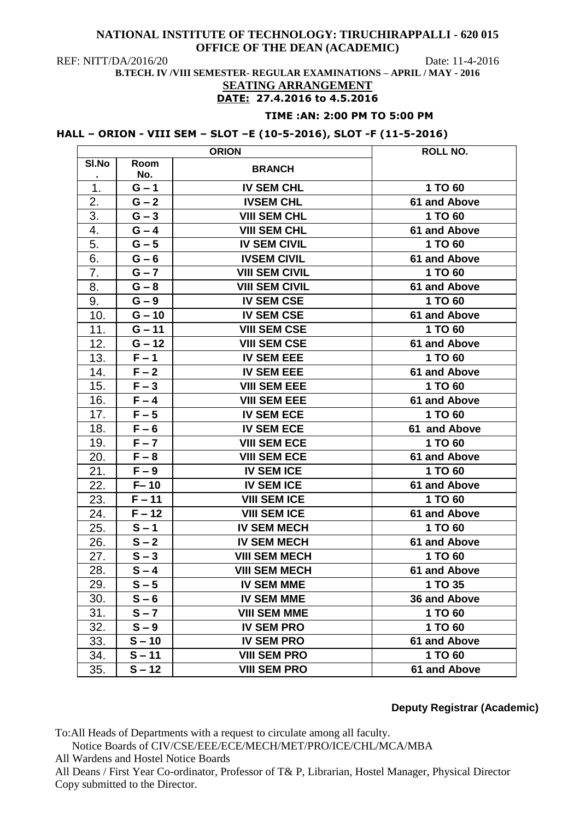REF: NITT/DA/2016/20 Date: 11-4-2016

**B.TECH. IV /VIII SEMESTER- REGULAR EXAMINATIONS – APRIL / MAY - 2016**

### **SEATING ARRANGEMENT DATE: 27.4.2016 to 4.5.2016**

### **TIME :AN: 2:00 PM TO 5:00 PM**

# **HALL – ORION - VIII SEM – SLOT –E (10-5-2016), SLOT -F (11-5-2016)**

| <b>ORION</b> |             |                       | ROLL NO.            |
|--------------|-------------|-----------------------|---------------------|
| SI.No        | Room<br>No. | <b>BRANCH</b>         |                     |
| 1.           | $G - 1$     | <b>IV SEM CHL</b>     | 1 TO 60             |
| 2.           | $G - 2$     | <b>IVSEM CHL</b>      | 61 and Above        |
| 3.           | $G - 3$     | <b>VIII SEM CHL</b>   | 1 TO 60             |
| 4.           | $G - 4$     | <b>VIII SEM CHL</b>   | 61 and Above        |
| 5.           | $G - 5$     | <b>IV SEM CIVIL</b>   | 1 TO 60             |
| 6.           | $G - 6$     | <b>IVSEM CIVIL</b>    | 61 and Above        |
| 7.           | $G - 7$     | <b>VIII SEM CIVIL</b> | 1 TO 60             |
| 8.           | $G - 8$     | <b>VIII SEM CIVIL</b> | 61 and Above        |
| 9.           | $G - 9$     | <b>IV SEM CSE</b>     | 1 TO 60             |
| 10.          | $G - 10$    | <b>IV SEM CSE</b>     | 61 and Above        |
| 11.          | $G - 11$    | <b>VIII SEM CSE</b>   | 1 TO 60             |
| 12.          | $G - 12$    | <b>VIII SEM CSE</b>   | 61 and Above        |
| 13.          | $F - 1$     | <b>IV SEM EEE</b>     | 1 TO 60             |
| 14.          | $F - 2$     | <b>IV SEM EEE</b>     | 61 and Above        |
| 15.          | $F - 3$     | <b>VIII SEM EEE</b>   | 1 TO 60             |
| 16.          | $F - 4$     | <b>VIII SEM EEE</b>   | 61 and Above        |
| 17.          | $F - 5$     | <b>IV SEM ECE</b>     | 1 TO 60             |
| 18.          | $F - 6$     | <b>IV SEM ECE</b>     | 61 and Above        |
| 19.          | $F - 7$     | <b>VIII SEM ECE</b>   | 1 TO 60             |
| 20.          | $F - 8$     | <b>VIII SEM ECE</b>   | 61 and Above        |
| 21.          | $F - 9$     | <b>IV SEM ICE</b>     | 1 TO 60             |
| 22.          | $F - 10$    | <b>IV SEM ICE</b>     | 61 and Above        |
| 23.          | $F - 11$    | <b>VIII SEM ICE</b>   | 1 TO 60             |
| 24.          | $F - 12$    | <b>VIII SEM ICE</b>   | 61 and Above        |
| 25.          | $S - 1$     | <b>IV SEM MECH</b>    | 1 TO 60             |
| 26.          | $S - 2$     | <b>IV SEM MECH</b>    | 61 and Above        |
| 27.          | $S - 3$     | <b>VIII SEM MECH</b>  | 1 TO 60             |
| 28.          | $S - 4$     | <b>VIII SEM MECH</b>  | <b>61 and Above</b> |
| 29.          | $S - 5$     | <b>IV SEM MME</b>     | 1 TO 35             |
| 30.          | $S - 6$     | <b>IV SEM MME</b>     | 36 and Above        |
| 31.          | $S - 7$     | <b>VIII SEM MME</b>   | 1 TO 60             |
| 32.          | $S - 9$     | <b>IV SEM PRO</b>     | 1 TO 60             |
| 33.          | $S - 10$    | <b>IV SEM PRO</b>     | 61 and Above        |
| 34.          | $S - 11$    | <b>VIII SEM PRO</b>   | 1 TO 60             |
| 35.          | $S - 12$    | <b>VIII SEM PRO</b>   | 61 and Above        |

# **Deputy Registrar (Academic)**

To:All Heads of Departments with a request to circulate among all faculty.

Notice Boards of CIV/CSE/EEE/ECE/MECH/MET/PRO/ICE/CHL/MCA/MBA

All Wardens and Hostel Notice Boards

All Deans / First Year Co-ordinator, Professor of T& P, Librarian, Hostel Manager, Physical Director Copy submitted to the Director.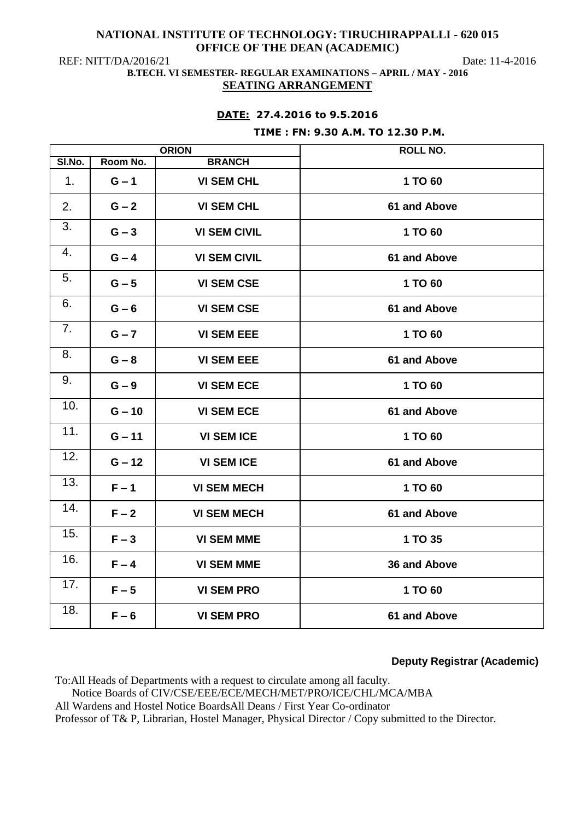REF: NITT/DA/2016/21 Date: 11-4-2016

## **B.TECH. VI SEMESTER- REGULAR EXAMINATIONS – APRIL / MAY - 2016 SEATING ARRANGEMENT**

# **DATE: 27.4.2016 to 9.5.2016**

### **TIME : FN: 9.30 A.M. TO 12.30 P.M.**

| <b>ORION</b> |          |                     | <b>ROLL NO.</b> |
|--------------|----------|---------------------|-----------------|
| SI.No.       | Room No. | <b>BRANCH</b>       |                 |
| 1.           | $G - 1$  | <b>VI SEM CHL</b>   | 1 TO 60         |
| 2.           | $G - 2$  | <b>VI SEM CHL</b>   | 61 and Above    |
| 3.           | $G - 3$  | <b>VI SEM CIVIL</b> | 1 TO 60         |
| 4.           | $G - 4$  | <b>VI SEM CIVIL</b> | 61 and Above    |
| 5.           | $G - 5$  | <b>VI SEM CSE</b>   | 1 TO 60         |
| 6.           | $G - 6$  | <b>VI SEM CSE</b>   | 61 and Above    |
| 7.           | $G - 7$  | <b>VI SEM EEE</b>   | 1 TO 60         |
| 8.           | $G - 8$  | <b>VI SEM EEE</b>   | 61 and Above    |
| 9.           | $G - 9$  | <b>VI SEM ECE</b>   | 1 TO 60         |
| 10.          | $G - 10$ | <b>VI SEM ECE</b>   | 61 and Above    |
| 11.          | $G - 11$ | <b>VI SEM ICE</b>   | 1 TO 60         |
| 12.          | $G - 12$ | <b>VI SEM ICE</b>   | 61 and Above    |
| 13.          | $F - 1$  | <b>VI SEM MECH</b>  | 1 TO 60         |
| 14.          | $F - 2$  | <b>VI SEM MECH</b>  | 61 and Above    |
| 15.          | $F - 3$  | <b>VI SEM MME</b>   | 1 TO 35         |
| 16.          | $F - 4$  | <b>VI SEM MME</b>   | 36 and Above    |
| 17.          | $F - 5$  | <b>VI SEM PRO</b>   | 1 TO 60         |
| 18.          | $F - 6$  | <b>VI SEM PRO</b>   | 61 and Above    |

# **Deputy Registrar (Academic)**

To:All Heads of Departments with a request to circulate among all faculty. Notice Boards of CIV/CSE/EEE/ECE/MECH/MET/PRO/ICE/CHL/MCA/MBA All Wardens and Hostel Notice BoardsAll Deans / First Year Co-ordinator Professor of T& P, Librarian, Hostel Manager, Physical Director / Copy submitted to the Director.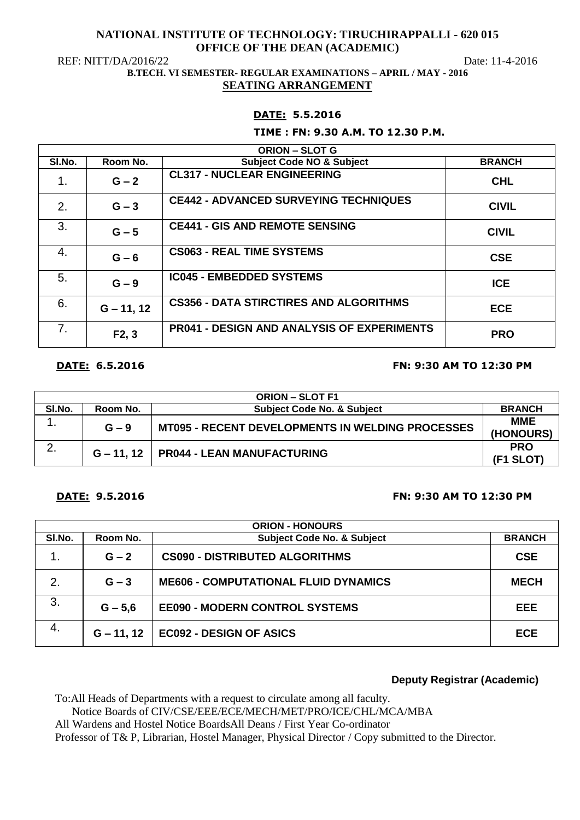REF: NITT/DA/2016/22 Date: 11-4-2016

### **B.TECH. VI SEMESTER- REGULAR EXAMINATIONS – APRIL / MAY - 2016 SEATING ARRANGEMENT**

## **DATE: 5.5.2016**

### **TIME : FN: 9.30 A.M. TO 12.30 P.M.**

| <b>ORION - SLOT G</b> |              |                                                   |               |  |
|-----------------------|--------------|---------------------------------------------------|---------------|--|
| SI.No.                | Room No.     | <b>Subject Code NO &amp; Subject</b>              | <b>BRANCH</b> |  |
| 1.                    | $G - 2$      | <b>CL317 - NUCLEAR ENGINEERING</b>                | <b>CHL</b>    |  |
| 2.                    | $G - 3$      | <b>CE442 - ADVANCED SURVEYING TECHNIQUES</b>      | <b>CIVIL</b>  |  |
| 3.                    | $G - 5$      | <b>CE441 - GIS AND REMOTE SENSING</b>             | <b>CIVIL</b>  |  |
| 4.                    | $G - 6$      | <b>CS063 - REAL TIME SYSTEMS</b>                  | <b>CSE</b>    |  |
| 5.                    | $G - 9$      | <b>IC045 - EMBEDDED SYSTEMS</b>                   | <b>ICE</b>    |  |
| 6.                    | $G - 11, 12$ | <b>CS356 - DATA STIRCTIRES AND ALGORITHMS</b>     | <b>ECE</b>    |  |
| 7.                    | F2, 3        | <b>PR041 - DESIGN AND ANALYSIS OF EXPERIMENTS</b> | <b>PRO</b>    |  |

# **DATE: 6.5.2016 FN: 9:30 AM TO 12:30 PM**

| <b>ORION – SLOT F1</b> |          |                                                         |                         |  |
|------------------------|----------|---------------------------------------------------------|-------------------------|--|
| SI.No.                 | Room No. | <b>Subject Code No. &amp; Subject</b>                   | <b>BRANCH</b>           |  |
|                        | $G - 9$  | <b>MT095 - RECENT DEVELOPMENTS IN WELDING PROCESSES</b> | <b>MME</b><br>(HONOURS) |  |
|                        |          | $G - 11$ , 12   PR044 - LEAN MANUFACTURING              | <b>PRO</b><br>(F1 SLOT) |  |

## **DATE: 9.5.2016 FN: 9:30 AM TO 12:30 PM**

| <b>ORION - HONOURS</b> |              |                                             |               |  |
|------------------------|--------------|---------------------------------------------|---------------|--|
| SI.No.                 | Room No.     | <b>Subject Code No. &amp; Subject</b>       | <b>BRANCH</b> |  |
| 1.                     | $G - 2$      | <b>CS090 - DISTRIBUTED ALGORITHMS</b>       | <b>CSE</b>    |  |
| 2.                     | $G - 3$      | <b>ME606 - COMPUTATIONAL FLUID DYNAMICS</b> | <b>MECH</b>   |  |
| 3.                     | $G - 5,6$    | <b>EE090 - MODERN CONTROL SYSTEMS</b>       | EEE           |  |
| -4.                    | $G - 11, 12$ | EC092 - DESIGN OF ASICS                     | <b>ECE</b>    |  |

# **Deputy Registrar (Academic)**

To:All Heads of Departments with a request to circulate among all faculty.

Notice Boards of CIV/CSE/EEE/ECE/MECH/MET/PRO/ICE/CHL/MCA/MBA

All Wardens and Hostel Notice BoardsAll Deans / First Year Co-ordinator

Professor of T& P, Librarian, Hostel Manager, Physical Director / Copy submitted to the Director.